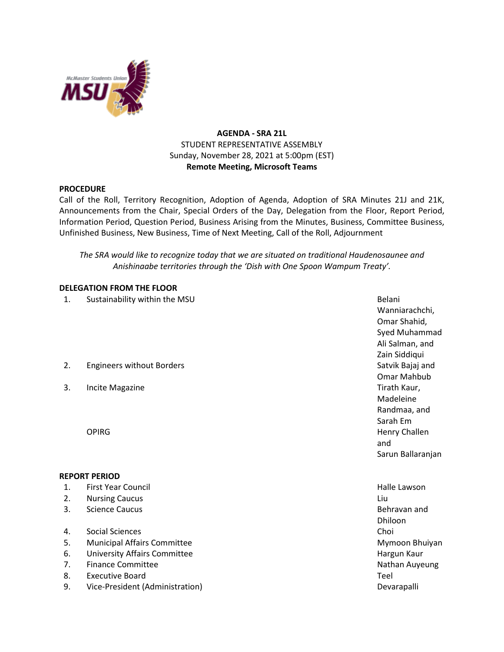

# **AGENDA - SRA 21L** STUDENT REPRESENTATIVE ASSEMBLY Sunday, November 28, 2021 at 5:00pm (EST) **Remote Meeting, Microsoft Teams**

### **PROCEDURE**

Call of the Roll, Territory Recognition, Adoption of Agenda, Adoption of SRA Minutes 21J and 21K, Announcements from the Chair, Special Orders of the Day, Delegation from the Floor, Report Period, Information Period, Question Period, Business Arising from the Minutes, Business, Committee Business, Unfinished Business, New Business, Time of Next Meeting, Call of the Roll, Adjournment

*The SRA would like to recognize today that we are situated on traditional Haudenosaunee and Anishinaabe territories through the 'Dish with One Spoon Wampum Treaty'.*

### **DELEGATION FROM THE FLOOR**

- 1. Sustainability within the MSU Belani and the MSU Belani and the MSU Belani and the Belani and Belani and Belani
- 2. Engineers without Borders Satvik Bajaj and Satvik Bajaj and Satvik Bajaj and Satvik Bajaj and
- 3. Incite Magazine **The Community Community** Community Community Community Community Community Community Community

#### **REPORT PERIOD**

- 1. First Year Council **Halle Lawson Halle Lawson**
- 2. Nursing Caucus Liu
- 3. Science Caucus Behravan and Behravan and Behravan and Behravan and Behravan and Behravan and Behravan and Behravan and Behravan and Behravan and Behravan and Behravan and Behravan and Behravan and Behravan and Behravan
- 4. Social Sciences Choi
- 5. Municipal Affairs Committee Mymoon Bhuiyan
- 6. University Affairs Committee **Hargun Kauraway** Hargun Kauraway Hargun Kauraway Hargun Kauraway Hargun Kauraway
- 7. Finance Committee Nathan Auyeung States and The Nathan Auyeung Nathan Auyeung
- 8. Executive Board Teel and Teel and Teel and Teel and Teel and Teel and Teel and Teel and Teel and Teel and Teel
- 9. Vice-President (Administration) and the control of the control of the Devarapalli

Wanniarachchi, Omar Shahid, Syed Muhammad Ali Salman, and Zain Siddiqui Omar Mahbub Madeleine Randmaa, and Sarah Em OPIRG **CONSERVERS CONSERVERS CONSERVERS CONSERVERS CONSERVERS CONSERVERS CONSERVERS** and Sarun Ballaranjan

Dhiloon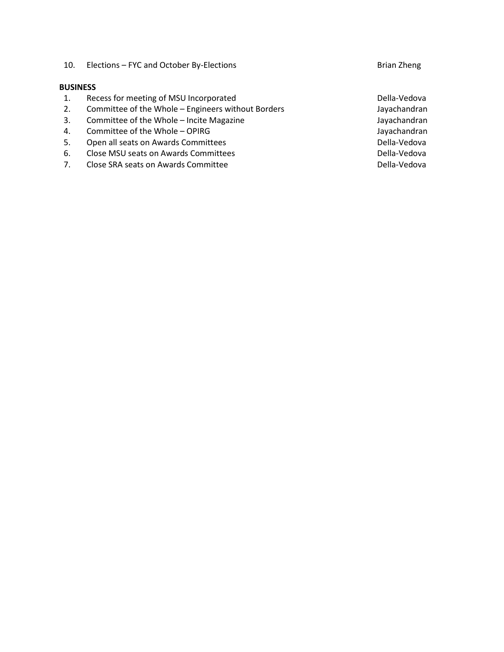10. Elections – FYC and October By-Elections Brian Zheng Brian Zheng

### **BUSINESS**

- 1. Recess for meeting of MSU Incorporated **Della-Vedova**
- 2. Committee of the Whole Engineers without Borders The Manuschi Mayachandran
- 3. Committee of the Whole Incite Magazine Jayachandran Jayachandran
- 4. Committee of the Whole OPIRG **State of the Whole OPIRG**
- 5. Open all seats on Awards Committees and the control of the Della-Vedova
- 6. Close MSU seats on Awards Committees **Committees** Della-Vedova
- 7. Close SRA seats on Awards Committee **Della-Vedova**